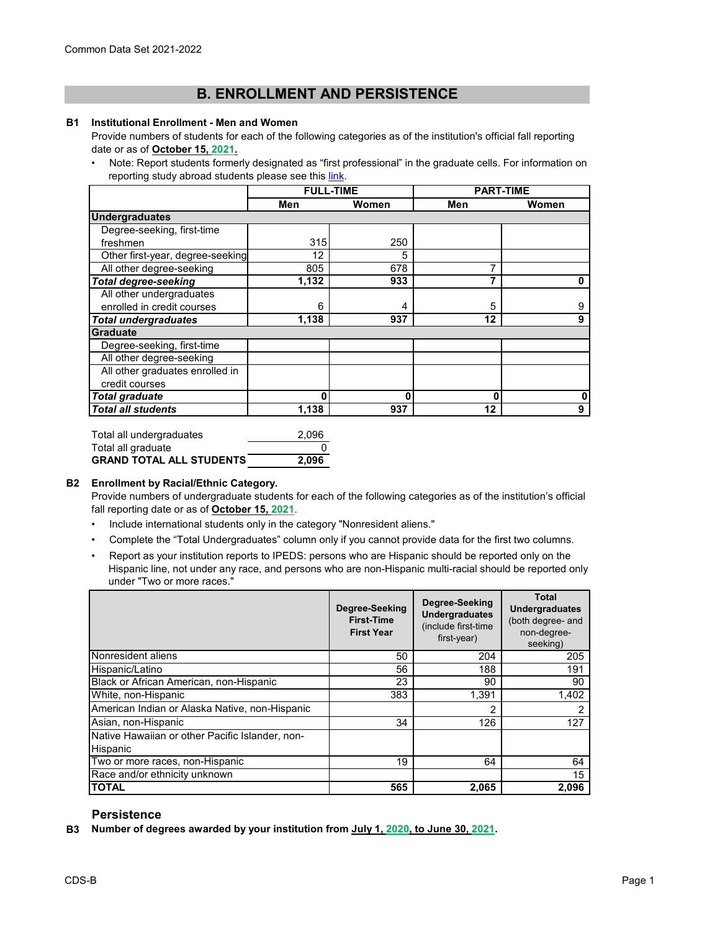# **B. ENROLLMENT AND PERSISTENCE**

#### **B1 Institutional Enrollment - Men and Women**

Provide numbers of students for each of the following categories as of the institution's official fall reporting date or as of **October 15, 2021.**

[• Note: Report students formerly designated as "first professional" in the graduate cells. For information on](https://nces.ed.gov/ipeds/pdf/Reporting_Study_Abroad%20Students_5.31.17.pdf)  reporting study abroad students please see this link.

|                                  | <b>FULL-TIME</b> |       | <b>PART-TIME</b> |       |
|----------------------------------|------------------|-------|------------------|-------|
|                                  | Men              | Women | Men              | Women |
| <b>Undergraduates</b>            |                  |       |                  |       |
| Degree-seeking, first-time       |                  |       |                  |       |
| freshmen                         | 315              | 250   |                  |       |
| Other first-year, degree-seeking | 12               | 5     |                  |       |
| All other degree-seeking         | 805              | 678   | 7                |       |
| <b>Total degree-seeking</b>      | 1,132            | 933   | 7                | O     |
| All other undergraduates         |                  |       |                  |       |
| enrolled in credit courses       | 6                | 4     | 5                | 9     |
| <b>Total undergraduates</b>      | 1,138            | 937   | 12               | 9     |
| <b>Graduate</b>                  |                  |       |                  |       |
| Degree-seeking, first-time       |                  |       |                  |       |
| All other degree-seeking         |                  |       |                  |       |
| All other graduates enrolled in  |                  |       |                  |       |
| credit courses                   |                  |       |                  |       |
| <b>Total graduate</b>            | O                | O     | 0                | 0     |
| <b>Total all students</b>        | 1,138            | 937   | 12               | 9     |

Total all undergraduates 2,096 Total all graduate 0 **GRAND TOTAL ALL STUDENTS 2,096**

## **B2 Enrollment by Racial/Ethnic Category.**

Provide numbers of undergraduate students for each of the following categories as of the institution's official fall reporting date or as of **October 15, 2021**.

- Include international students only in the category "Nonresident aliens."
- Complete the "Total Undergraduates" column only if you cannot provide data for the first two columns.
- Report as your institution reports to IPEDS: persons who are Hispanic should be reported only on the Hispanic line, not under any race, and persons who are non-Hispanic multi-racial should be reported only under "Two or more races."

|                                                             | Degree-Seeking<br><b>First-Time</b><br><b>First Year</b> | Degree-Seeking<br><b>Undergraduates</b><br>(include first-time<br>first-year) | <b>Total</b><br><b>Undergraduates</b><br>(both degree- and<br>non-degree-<br>seeking) |
|-------------------------------------------------------------|----------------------------------------------------------|-------------------------------------------------------------------------------|---------------------------------------------------------------------------------------|
| Nonresident aliens                                          | 50                                                       | 204                                                                           | 205                                                                                   |
| Hispanic/Latino                                             | 56                                                       | 188                                                                           | 191                                                                                   |
| Black or African American, non-Hispanic                     | 23                                                       | 90                                                                            | 90                                                                                    |
| White, non-Hispanic                                         | 383                                                      | 1,391                                                                         | 1,402                                                                                 |
| American Indian or Alaska Native, non-Hispanic              |                                                          | 2                                                                             | 2                                                                                     |
| Asian, non-Hispanic                                         | 34                                                       | 126                                                                           | 127                                                                                   |
| Native Hawaiian or other Pacific Islander, non-<br>Hispanic |                                                          |                                                                               |                                                                                       |
| Two or more races, non-Hispanic                             | 19                                                       | 64                                                                            | 64                                                                                    |
| Race and/or ethnicity unknown                               |                                                          |                                                                               | 15                                                                                    |
| <b>TOTAL</b>                                                | 565                                                      | 2,065                                                                         | 2.096                                                                                 |

## **Persistence**

**B3 Number of degrees awarded by your institution from July 1, 2020, to June 30, 2021.**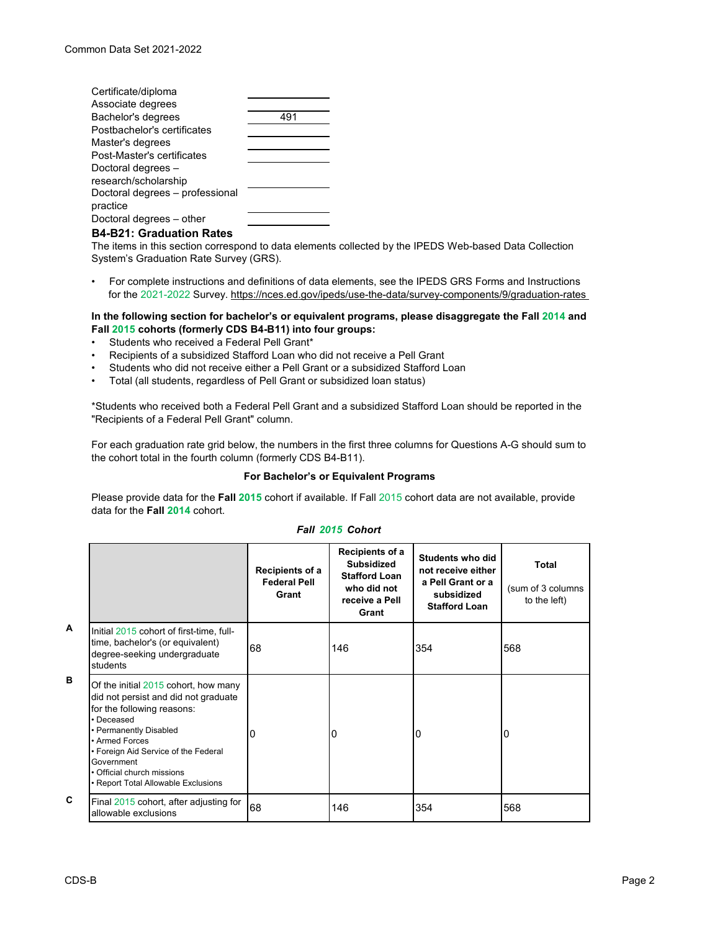| Certificate/diploma             |     |
|---------------------------------|-----|
| Associate degrees               |     |
| Bachelor's degrees              | 491 |
| Postbachelor's certificates     |     |
| Master's degrees                |     |
| Post-Master's certificates      |     |
| Doctoral degrees -              |     |
| research/scholarship            |     |
| Doctoral degrees - professional |     |
| practice                        |     |
| Doctoral degrees - other        |     |
|                                 |     |

### **B4-B21: Graduation Rates**

The items in this section correspond to data elements collected by the IPEDS Web-based Data Collection System's Graduation Rate Survey (GRS).

• For complete instructions and definitions of data elements, see the IPEDS GRS Forms and Instructions for the 2021-2022 Survey. https://nces.ed.gov/ipeds/use-the-data/survey-components/9/graduation-rates

### **In the following section for bachelor's or equivalent programs, please disaggregate the Fall 2014 and Fall 2015 cohorts (formerly CDS B4-B11) into four groups:**

- Students who received a Federal Pell Grant\*
- Recipients of a subsidized Stafford Loan who did not receive a Pell Grant
- Students who did not receive either a Pell Grant or a subsidized Stafford Loan
- Total (all students, regardless of Pell Grant or subsidized loan status)

\*Students who received both a Federal Pell Grant and a subsidized Stafford Loan should be reported in the "Recipients of a Federal Pell Grant" column.

For each graduation rate grid below, the numbers in the first three columns for Questions A-G should sum to the cohort total in the fourth column (formerly CDS B4-B11).

#### **For Bachelor's or Equivalent Programs**

Please provide data for the **Fall 2015** cohort if available. If Fall 2015 cohort data are not available, provide data for the **Fall 2014** cohort.

|   |                                                                                                                                                                                                                                                                                                 | Recipients of a<br><b>Federal Pell</b><br>Grant | Recipients of a<br><b>Subsidized</b><br><b>Stafford Loan</b><br>who did not<br>receive a Pell<br>Grant | Students who did<br>not receive either<br>a Pell Grant or a<br>subsidized<br><b>Stafford Loan</b> | Total<br>(sum of 3 columns)<br>to the left) |
|---|-------------------------------------------------------------------------------------------------------------------------------------------------------------------------------------------------------------------------------------------------------------------------------------------------|-------------------------------------------------|--------------------------------------------------------------------------------------------------------|---------------------------------------------------------------------------------------------------|---------------------------------------------|
| A | Initial 2015 cohort of first-time, full-<br>time, bachelor's (or equivalent)<br>degree-seeking undergraduate<br>students                                                                                                                                                                        | 68                                              | 146                                                                                                    | 354                                                                                               | 568                                         |
| B | Of the initial 2015 cohort, how many<br>did not persist and did not graduate<br>for the following reasons:<br>• Deceased<br>• Permanently Disabled<br>• Armed Forces<br>• Foreign Aid Service of the Federal<br>Government<br>• Official church missions<br>• Report Total Allowable Exclusions | 10                                              | 0                                                                                                      | 0                                                                                                 | 0                                           |
| C | Final 2015 cohort, after adjusting for<br>allowable exclusions                                                                                                                                                                                                                                  | 68                                              | 146                                                                                                    | 354                                                                                               | 568                                         |

### *Fall 2015 Cohort*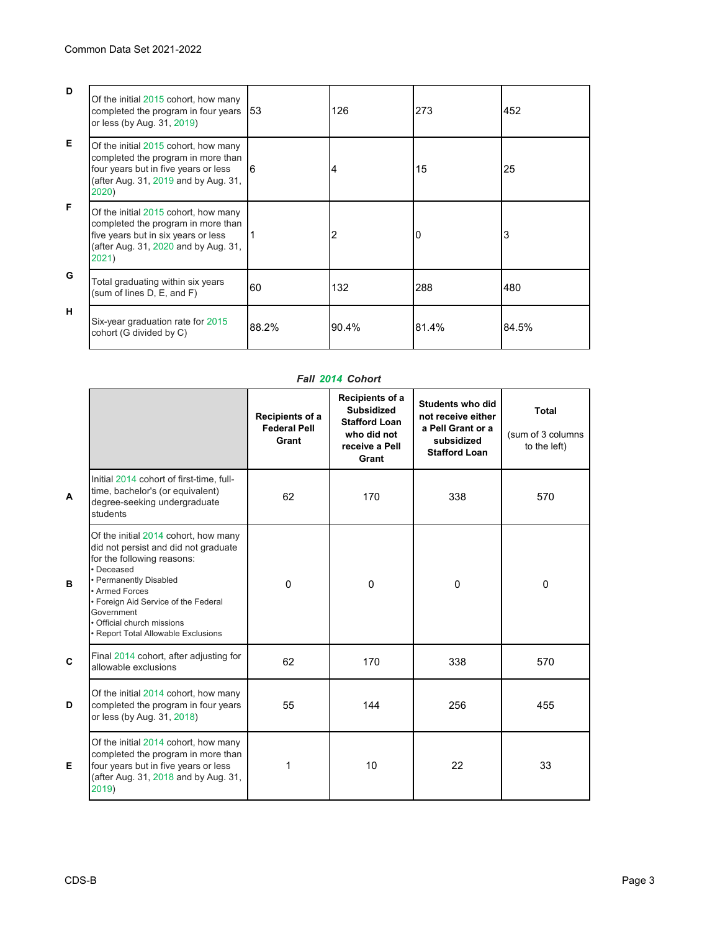| D  | Of the initial 2015 cohort, how many<br>completed the program in four years 53<br>or less (by Aug. 31, 2019)                                                        |       | 126   | 273   | 452   |
|----|---------------------------------------------------------------------------------------------------------------------------------------------------------------------|-------|-------|-------|-------|
| E. | Of the initial 2015 cohort, how many<br>completed the program in more than<br>four years but in five years or less<br>(after Aug. 31, 2019 and by Aug. 31,<br>2020) | 6     | 4     | 15    | 25    |
| E  | Of the initial 2015 cohort, how many<br>completed the program in more than<br>five years but in six years or less<br>(after Aug. 31, 2020 and by Aug. 31,<br>2021)  |       | 2     | 0     | 3     |
| G  | Total graduating within six years<br>(sum of lines D, E, and F)                                                                                                     | 60    | 132   | 288   | 480   |
| н  | Six-year graduation rate for 2015<br>cohort (G divided by C)                                                                                                        | 88.2% | 90.4% | 81.4% | 84.5% |

# *Fall 2014 Cohort*

|              |                                                                                                                                                                                                                                                                                                    | Recipients of a<br><b>Federal Pell</b><br>Grant | Recipients of a<br>Subsidized<br><b>Stafford Loan</b><br>who did not<br>receive a Pell<br>Grant | <b>Students who did</b><br>not receive either<br>a Pell Grant or a<br>subsidized<br><b>Stafford Loan</b> | Total<br>(sum of 3 columns<br>to the left) |
|--------------|----------------------------------------------------------------------------------------------------------------------------------------------------------------------------------------------------------------------------------------------------------------------------------------------------|-------------------------------------------------|-------------------------------------------------------------------------------------------------|----------------------------------------------------------------------------------------------------------|--------------------------------------------|
| $\mathbf{A}$ | Initial 2014 cohort of first-time, full-<br>time, bachelor's (or equivalent)<br>degree-seeking undergraduate<br>students                                                                                                                                                                           | 62                                              | 170                                                                                             | 338                                                                                                      | 570                                        |
| B            | Of the initial 2014 cohort, how many<br>did not persist and did not graduate<br>for the following reasons:<br>· Deceased<br>• Permanently Disabled<br>• Armed Forces<br>• Foreign Aid Service of the Federal<br>Government<br>Official church missions<br><b>Report Total Allowable Exclusions</b> | $\Omega$                                        | $\Omega$                                                                                        | $\Omega$                                                                                                 | $\mathbf 0$                                |
| $\mathbf{C}$ | Final 2014 cohort, after adjusting for<br>allowable exclusions                                                                                                                                                                                                                                     | 62                                              | 170                                                                                             | 338                                                                                                      | 570                                        |
| D            | Of the initial 2014 cohort, how many<br>completed the program in four years<br>or less (by Aug. 31, 2018)                                                                                                                                                                                          | 55                                              | 144                                                                                             | 256                                                                                                      | 455                                        |
| E            | Of the initial 2014 cohort, how many<br>completed the program in more than<br>four years but in five years or less<br>(after Aug. 31, 2018 and by Aug. 31,<br>2019)                                                                                                                                | 1                                               | 10                                                                                              | 22                                                                                                       | 33                                         |